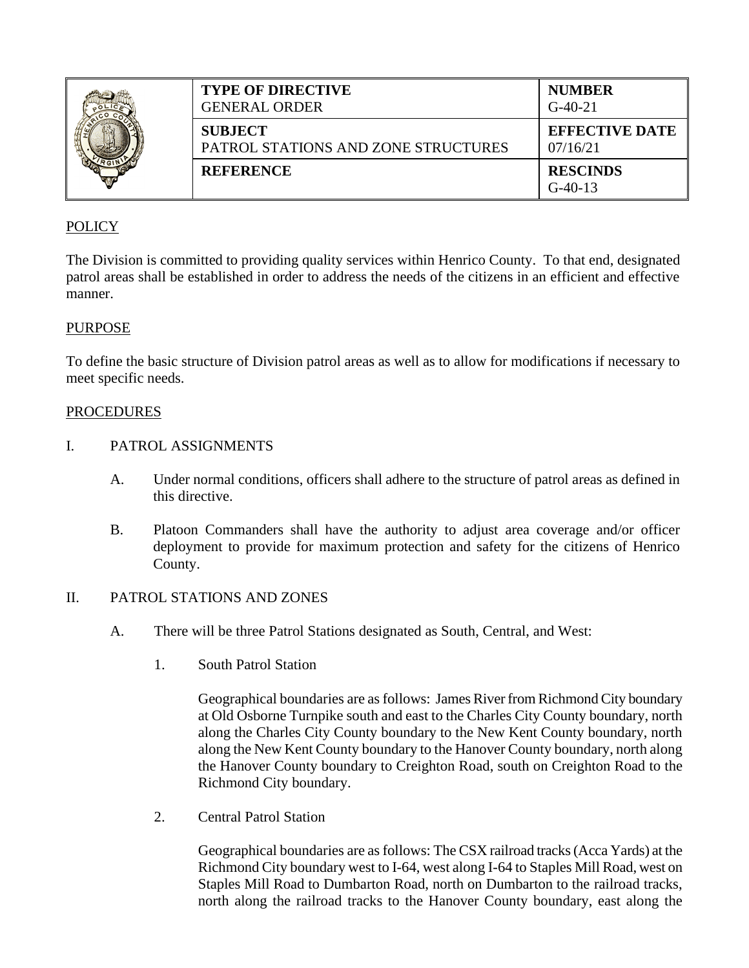|  | <b>TYPE OF DIRECTIVE</b><br>GENERAL ORDER             | <b>NUMBER</b><br>$G-40-21$        |
|--|-------------------------------------------------------|-----------------------------------|
|  | <b>SUBJECT</b><br>PATROL STATIONS AND ZONE STRUCTURES | <b>EFFECTIVE DATE</b><br>07/16/21 |
|  | <b>REFERENCE</b>                                      | <b>RESCINDS</b><br>$G-40-13$      |

# POLICY

The Division is committed to providing quality services within Henrico County. To that end, designated patrol areas shall be established in order to address the needs of the citizens in an efficient and effective manner.

## PURPOSE

To define the basic structure of Division patrol areas as well as to allow for modifications if necessary to meet specific needs.

#### PROCEDURES

- I. PATROL ASSIGNMENTS
	- A. Under normal conditions, officers shall adhere to the structure of patrol areas as defined in this directive.
	- B. Platoon Commanders shall have the authority to adjust area coverage and/or officer deployment to provide for maximum protection and safety for the citizens of Henrico County.

### II. PATROL STATIONS AND ZONES

- A. There will be three Patrol Stations designated as South, Central, and West:
	- 1. South Patrol Station

Geographical boundaries are as follows: James River from Richmond City boundary at Old Osborne Turnpike south and east to the Charles City County boundary, north along the Charles City County boundary to the New Kent County boundary, north along the New Kent County boundary to the Hanover County boundary, north along the Hanover County boundary to Creighton Road, south on Creighton Road to the Richmond City boundary.

2. Central Patrol Station

Geographical boundaries are as follows: The CSX railroad tracks (Acca Yards) at the Richmond City boundary west to I-64, west along I-64 to Staples Mill Road, west on Staples Mill Road to Dumbarton Road, north on Dumbarton to the railroad tracks, north along the railroad tracks to the Hanover County boundary, east along the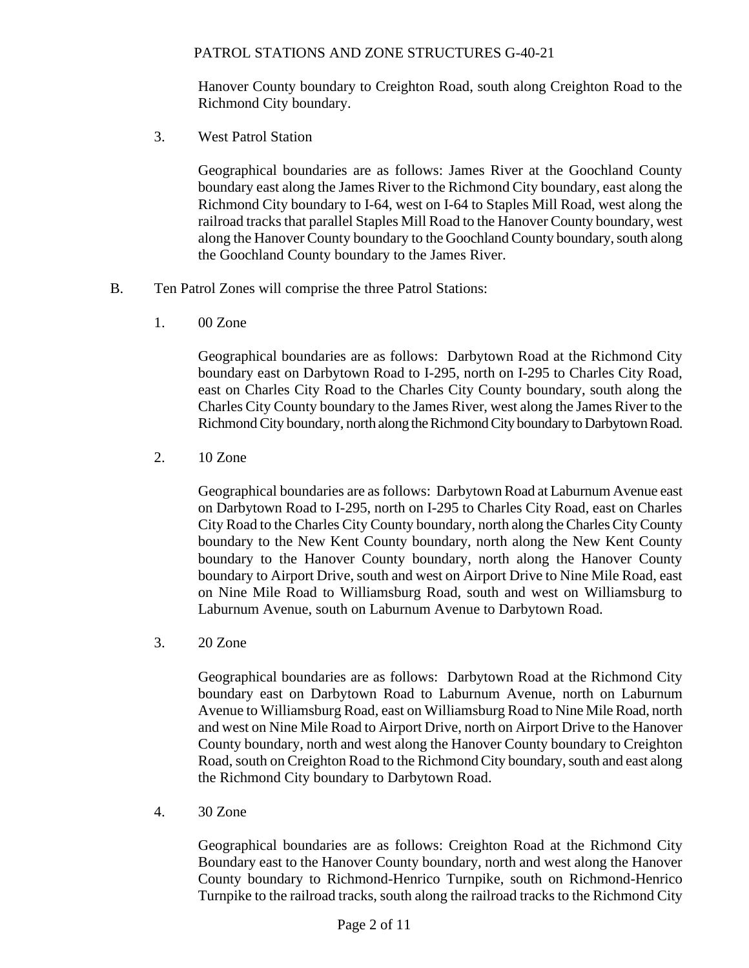Hanover County boundary to Creighton Road, south along Creighton Road to the Richmond City boundary.

3. West Patrol Station

Geographical boundaries are as follows: James River at the Goochland County boundary east along the James River to the Richmond City boundary, east along the Richmond City boundary to I-64, west on I-64 to Staples Mill Road, west along the railroad tracks that parallel Staples Mill Road to the Hanover County boundary, west along the Hanover County boundary to the Goochland County boundary, south along the Goochland County boundary to the James River.

- B. Ten Patrol Zones will comprise the three Patrol Stations:
	- 1. 00 Zone

Geographical boundaries are as follows: Darbytown Road at the Richmond City boundary east on Darbytown Road to I-295, north on I-295 to Charles City Road, east on Charles City Road to the Charles City County boundary, south along the Charles City County boundary to the James River, west along the James River to the Richmond City boundary, north along the Richmond City boundary to DarbytownRoad.

2. 10 Zone

Geographical boundaries are as follows: Darbytown Road at Laburnum Avenue east on Darbytown Road to I-295, north on I-295 to Charles City Road, east on Charles City Road to the Charles City County boundary, north along the Charles City County boundary to the New Kent County boundary, north along the New Kent County boundary to the Hanover County boundary, north along the Hanover County boundary to Airport Drive, south and west on Airport Drive to Nine Mile Road, east on Nine Mile Road to Williamsburg Road, south and west on Williamsburg to Laburnum Avenue, south on Laburnum Avenue to Darbytown Road.

3. 20 Zone

Geographical boundaries are as follows: Darbytown Road at the Richmond City boundary east on Darbytown Road to Laburnum Avenue, north on Laburnum Avenue to Williamsburg Road, east on Williamsburg Road to Nine Mile Road, north and west on Nine Mile Road to Airport Drive, north on Airport Drive to the Hanover County boundary, north and west along the Hanover County boundary to Creighton Road, south on Creighton Road to the Richmond City boundary, south and east along the Richmond City boundary to Darbytown Road.

4. 30 Zone

Geographical boundaries are as follows: Creighton Road at the Richmond City Boundary east to the Hanover County boundary, north and west along the Hanover County boundary to Richmond-Henrico Turnpike, south on Richmond-Henrico Turnpike to the railroad tracks, south along the railroad tracks to the Richmond City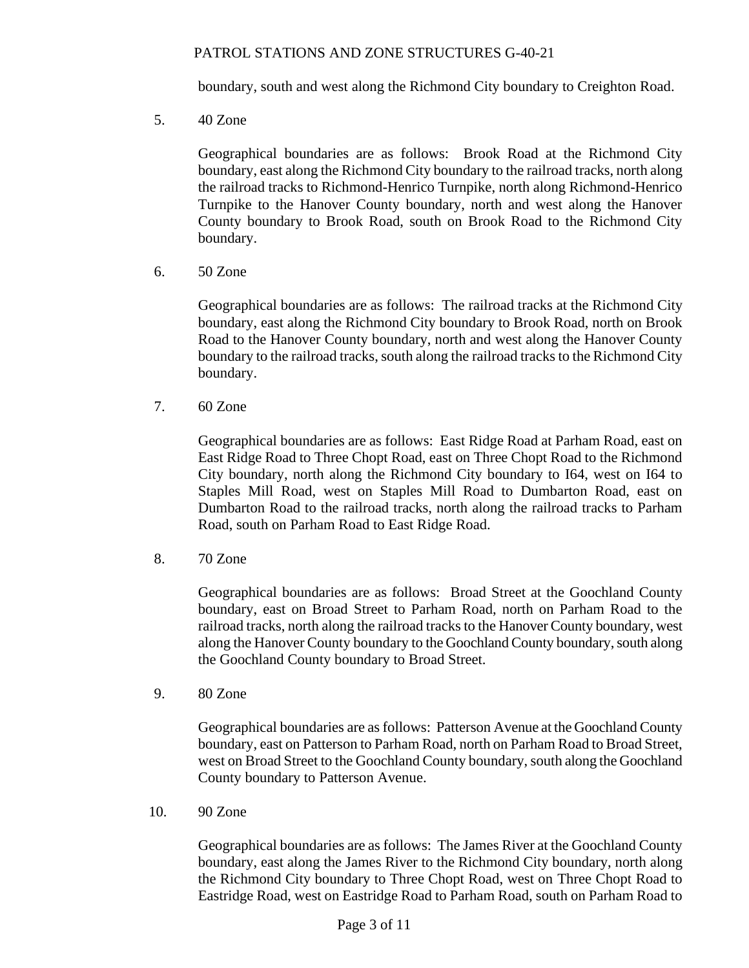boundary, south and west along the Richmond City boundary to Creighton Road.

5. 40 Zone

Geographical boundaries are as follows: Brook Road at the Richmond City boundary, east along the Richmond City boundary to the railroad tracks, north along the railroad tracks to Richmond-Henrico Turnpike, north along Richmond-Henrico Turnpike to the Hanover County boundary, north and west along the Hanover County boundary to Brook Road, south on Brook Road to the Richmond City boundary.

6. 50 Zone

Geographical boundaries are as follows: The railroad tracks at the Richmond City boundary, east along the Richmond City boundary to Brook Road, north on Brook Road to the Hanover County boundary, north and west along the Hanover County boundary to the railroad tracks, south along the railroad tracks to the Richmond City boundary.

7. 60 Zone

Geographical boundaries are as follows: East Ridge Road at Parham Road, east on East Ridge Road to Three Chopt Road, east on Three Chopt Road to the Richmond City boundary, north along the Richmond City boundary to I64, west on I64 to Staples Mill Road, west on Staples Mill Road to Dumbarton Road, east on Dumbarton Road to the railroad tracks, north along the railroad tracks to Parham Road, south on Parham Road to East Ridge Road.

8. 70 Zone

Geographical boundaries are as follows: Broad Street at the Goochland County boundary, east on Broad Street to Parham Road, north on Parham Road to the railroad tracks, north along the railroad tracks to the Hanover County boundary, west along the Hanover County boundary to the Goochland County boundary, south along the Goochland County boundary to Broad Street.

9. 80 Zone

Geographical boundaries are as follows: Patterson Avenue at the Goochland County boundary, east on Patterson to Parham Road, north on Parham Road to Broad Street, west on Broad Street to the Goochland County boundary, south along the Goochland County boundary to Patterson Avenue.

10. 90 Zone

Geographical boundaries are as follows: The James River at the Goochland County boundary, east along the James River to the Richmond City boundary, north along the Richmond City boundary to Three Chopt Road, west on Three Chopt Road to Eastridge Road, west on Eastridge Road to Parham Road, south on Parham Road to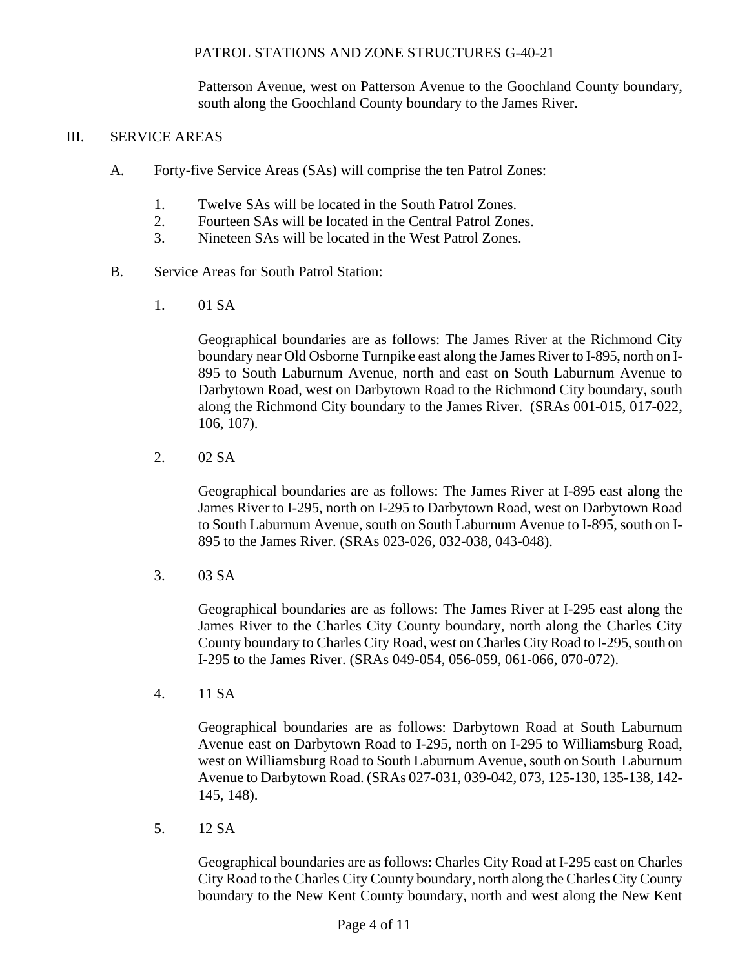Patterson Avenue, west on Patterson Avenue to the Goochland County boundary, south along the Goochland County boundary to the James River.

#### III. SERVICE AREAS

- A. Forty-five Service Areas (SAs) will comprise the ten Patrol Zones:
	- 1. Twelve SAs will be located in the South Patrol Zones.
	- 2. Fourteen SAs will be located in the Central Patrol Zones.
	- 3. Nineteen SAs will be located in the West Patrol Zones.
- B. Service Areas for South Patrol Station:
	- 1. 01 SA

Geographical boundaries are as follows: The James River at the Richmond City boundary near Old Osborne Turnpike east along the James River to I-895, north on I-895 to South Laburnum Avenue, north and east on South Laburnum Avenue to Darbytown Road, west on Darbytown Road to the Richmond City boundary, south along the Richmond City boundary to the James River. (SRAs 001-015, 017-022, 106, 107).

2. 02 SA

Geographical boundaries are as follows: The James River at I-895 east along the James River to I-295, north on I-295 to Darbytown Road, west on Darbytown Road to South Laburnum Avenue, south on South Laburnum Avenue to I-895, south on I-895 to the James River. (SRAs 023-026, 032-038, 043-048).

3. 03 SA

Geographical boundaries are as follows: The James River at I-295 east along the James River to the Charles City County boundary, north along the Charles City County boundary to Charles City Road, west on Charles City Road to I-295, south on I-295 to the James River. (SRAs 049-054, 056-059, 061-066, 070-072).

4. 11 SA

Geographical boundaries are as follows: Darbytown Road at South Laburnum Avenue east on Darbytown Road to I-295, north on I-295 to Williamsburg Road, west on Williamsburg Road to South Laburnum Avenue, south on South Laburnum Avenue to Darbytown Road. (SRAs 027-031, 039-042, 073, 125-130, 135-138, 142- 145, 148).

5. 12 SA

Geographical boundaries are as follows: Charles City Road at I-295 east on Charles City Road to the Charles City County boundary, north along the Charles City County boundary to the New Kent County boundary, north and west along the New Kent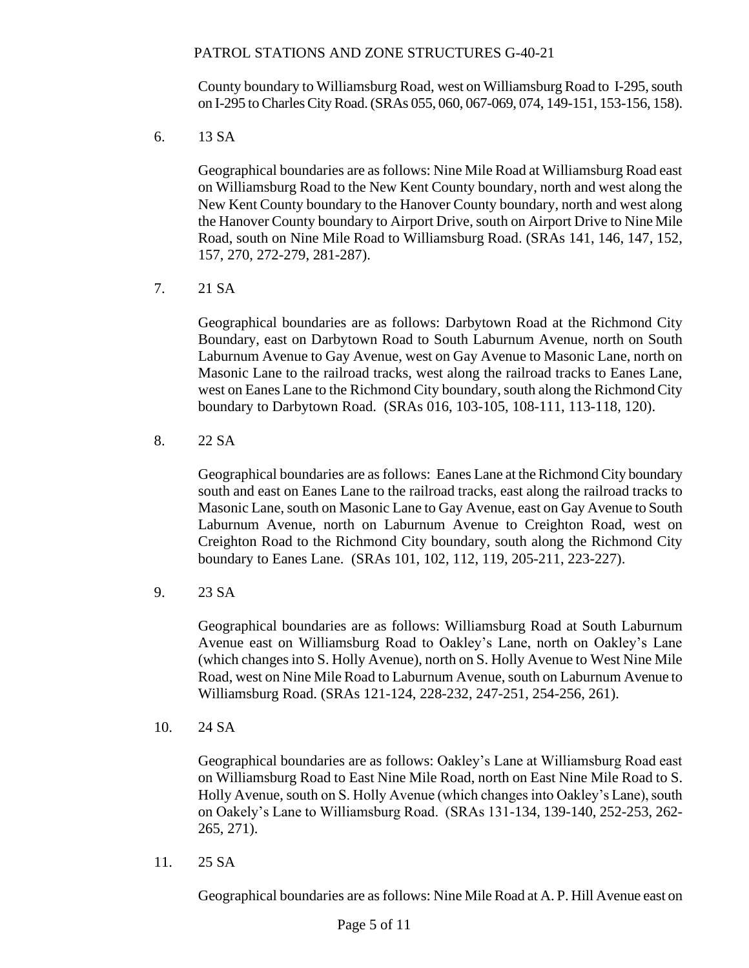County boundary to Williamsburg Road, west on Williamsburg Road to I-295, south on I-295 to Charles City Road. (SRAs 055, 060, 067-069, 074, 149-151, 153-156, 158).

6. 13 SA

Geographical boundaries are as follows: Nine Mile Road at Williamsburg Road east on Williamsburg Road to the New Kent County boundary, north and west along the New Kent County boundary to the Hanover County boundary, north and west along the Hanover County boundary to Airport Drive, south on Airport Drive to Nine Mile Road, south on Nine Mile Road to Williamsburg Road. (SRAs 141, 146, 147, 152, 157, 270, 272-279, 281-287).

7. 21 SA

Geographical boundaries are as follows: Darbytown Road at the Richmond City Boundary, east on Darbytown Road to South Laburnum Avenue, north on South Laburnum Avenue to Gay Avenue, west on Gay Avenue to Masonic Lane, north on Masonic Lane to the railroad tracks, west along the railroad tracks to Eanes Lane, west on Eanes Lane to the Richmond City boundary, south along the Richmond City boundary to Darbytown Road. (SRAs 016, 103-105, 108-111, 113-118, 120).

8. 22 SA

Geographical boundaries are as follows: Eanes Lane at the Richmond City boundary south and east on Eanes Lane to the railroad tracks, east along the railroad tracks to Masonic Lane, south on Masonic Lane to Gay Avenue, east on Gay Avenue to South Laburnum Avenue, north on Laburnum Avenue to Creighton Road, west on Creighton Road to the Richmond City boundary, south along the Richmond City boundary to Eanes Lane. (SRAs 101, 102, 112, 119, 205-211, 223-227).

9. 23 SA

Geographical boundaries are as follows: Williamsburg Road at South Laburnum Avenue east on Williamsburg Road to Oakley's Lane, north on Oakley's Lane (which changes into S. Holly Avenue), north on S. Holly Avenue to West Nine Mile Road, west on Nine Mile Road to Laburnum Avenue, south on Laburnum Avenue to Williamsburg Road. (SRAs 121-124, 228-232, 247-251, 254-256, 261).

10. 24 SA

Geographical boundaries are as follows: Oakley's Lane at Williamsburg Road east on Williamsburg Road to East Nine Mile Road, north on East Nine Mile Road to S. Holly Avenue, south on S. Holly Avenue (which changes into Oakley's Lane), south on Oakely's Lane to Williamsburg Road. (SRAs 131-134, 139-140, 252-253, 262- 265, 271).

11. 25 SA

Geographical boundaries are as follows: Nine Mile Road at A. P. Hill Avenue east on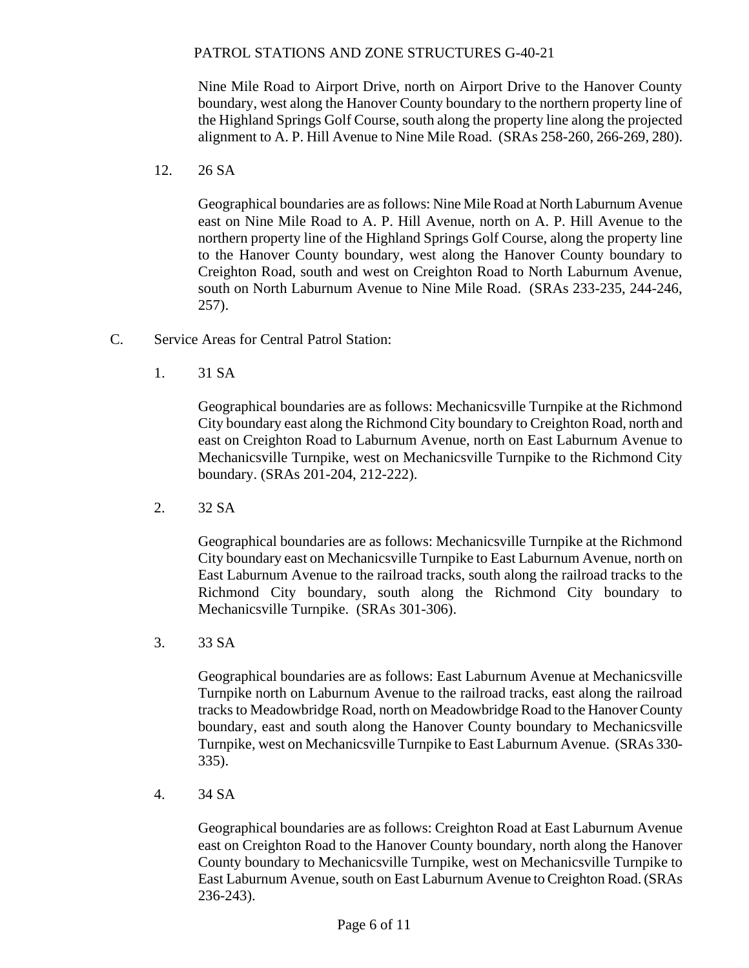Nine Mile Road to Airport Drive, north on Airport Drive to the Hanover County boundary, west along the Hanover County boundary to the northern property line of the Highland Springs Golf Course, south along the property line along the projected alignment to A. P. Hill Avenue to Nine Mile Road. (SRAs 258-260, 266-269, 280).

12. 26 SA

Geographical boundaries are as follows: Nine Mile Road at North Laburnum Avenue east on Nine Mile Road to A. P. Hill Avenue, north on A. P. Hill Avenue to the northern property line of the Highland Springs Golf Course, along the property line to the Hanover County boundary, west along the Hanover County boundary to Creighton Road, south and west on Creighton Road to North Laburnum Avenue, south on North Laburnum Avenue to Nine Mile Road. (SRAs 233-235, 244-246, 257).

- C. Service Areas for Central Patrol Station:
	- 1. 31 SA

Geographical boundaries are as follows: Mechanicsville Turnpike at the Richmond City boundary east along the Richmond City boundary to Creighton Road, north and east on Creighton Road to Laburnum Avenue, north on East Laburnum Avenue to Mechanicsville Turnpike, west on Mechanicsville Turnpike to the Richmond City boundary. (SRAs 201-204, 212-222).

2. 32 SA

Geographical boundaries are as follows: Mechanicsville Turnpike at the Richmond City boundary east on Mechanicsville Turnpike to East Laburnum Avenue, north on East Laburnum Avenue to the railroad tracks, south along the railroad tracks to the Richmond City boundary, south along the Richmond City boundary to Mechanicsville Turnpike. (SRAs 301-306).

3. 33 SA

Geographical boundaries are as follows: East Laburnum Avenue at Mechanicsville Turnpike north on Laburnum Avenue to the railroad tracks, east along the railroad tracks to Meadowbridge Road, north on Meadowbridge Road to the Hanover County boundary, east and south along the Hanover County boundary to Mechanicsville Turnpike, west on Mechanicsville Turnpike to East Laburnum Avenue. (SRAs 330- 335).

4. 34 SA

Geographical boundaries are as follows: Creighton Road at East Laburnum Avenue east on Creighton Road to the Hanover County boundary, north along the Hanover County boundary to Mechanicsville Turnpike, west on Mechanicsville Turnpike to East Laburnum Avenue, south on East Laburnum Avenue to Creighton Road. (SRAs 236-243).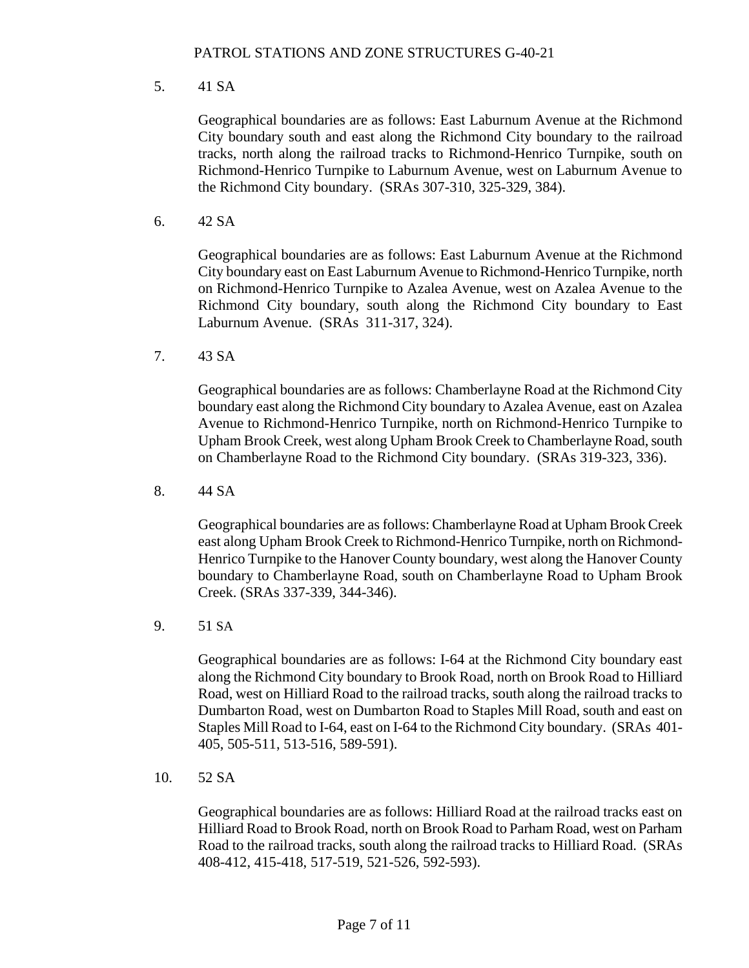5. 41 SA

Geographical boundaries are as follows: East Laburnum Avenue at the Richmond City boundary south and east along the Richmond City boundary to the railroad tracks, north along the railroad tracks to Richmond-Henrico Turnpike, south on Richmond-Henrico Turnpike to Laburnum Avenue, west on Laburnum Avenue to the Richmond City boundary. (SRAs 307-310, 325-329, 384).

6. 42 SA

Geographical boundaries are as follows: East Laburnum Avenue at the Richmond City boundary east on East Laburnum Avenue to Richmond-Henrico Turnpike, north on Richmond-Henrico Turnpike to Azalea Avenue, west on Azalea Avenue to the Richmond City boundary, south along the Richmond City boundary to East Laburnum Avenue. (SRAs 311-317, 324).

7. 43 SA

Geographical boundaries are as follows: Chamberlayne Road at the Richmond City boundary east along the Richmond City boundary to Azalea Avenue, east on Azalea Avenue to Richmond-Henrico Turnpike, north on Richmond-Henrico Turnpike to Upham Brook Creek, west along Upham Brook Creek to Chamberlayne Road, south on Chamberlayne Road to the Richmond City boundary. (SRAs 319-323, 336).

8. 44 SA

Geographical boundaries are as follows: Chamberlayne Road at Upham Brook Creek east along Upham Brook Creek to Richmond-Henrico Turnpike, north on Richmond-Henrico Turnpike to the Hanover County boundary, west along the Hanover County boundary to Chamberlayne Road, south on Chamberlayne Road to Upham Brook Creek. (SRAs 337-339, 344-346).

9. 51 SA

Geographical boundaries are as follows: I-64 at the Richmond City boundary east along the Richmond City boundary to Brook Road, north on Brook Road to Hilliard Road, west on Hilliard Road to the railroad tracks, south along the railroad tracks to Dumbarton Road, west on Dumbarton Road to Staples Mill Road, south and east on Staples Mill Road to I-64, east on I-64 to the Richmond City boundary. (SRAs 401- 405, 505-511, 513-516, 589-591).

10. 52 SA

Geographical boundaries are as follows: Hilliard Road at the railroad tracks east on Hilliard Road to Brook Road, north on Brook Road to Parham Road, west on Parham Road to the railroad tracks, south along the railroad tracks to Hilliard Road. (SRAs 408-412, 415-418, 517-519, 521-526, 592-593).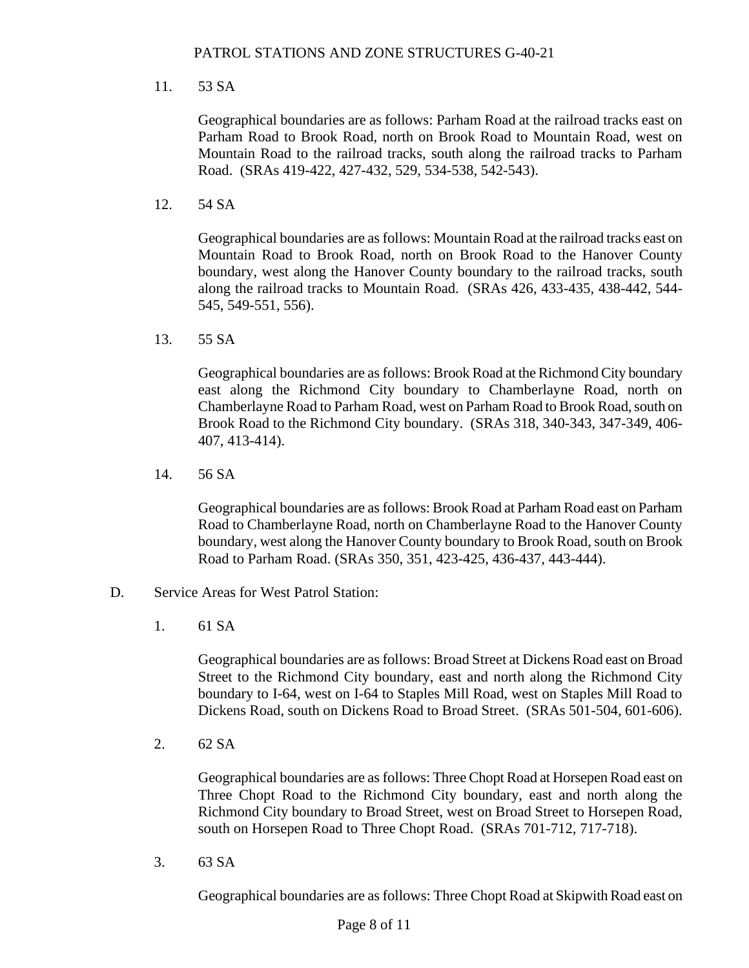#### 11. 53 SA

Geographical boundaries are as follows: Parham Road at the railroad tracks east on Parham Road to Brook Road, north on Brook Road to Mountain Road, west on Mountain Road to the railroad tracks, south along the railroad tracks to Parham Road. (SRAs 419-422, 427-432, 529, 534-538, 542-543).

12. 54 SA

Geographical boundaries are as follows: Mountain Road at the railroad tracks east on Mountain Road to Brook Road, north on Brook Road to the Hanover County boundary, west along the Hanover County boundary to the railroad tracks, south along the railroad tracks to Mountain Road. (SRAs 426, 433-435, 438-442, 544- 545, 549-551, 556).

13. 55 SA

Geographical boundaries are as follows: Brook Road at the Richmond City boundary east along the Richmond City boundary to Chamberlayne Road, north on Chamberlayne Road to Parham Road, west on Parham Road to Brook Road, south on Brook Road to the Richmond City boundary. (SRAs 318, 340-343, 347-349, 406- 407, 413-414).

14. 56 SA

Geographical boundaries are as follows: Brook Road at Parham Road east on Parham Road to Chamberlayne Road, north on Chamberlayne Road to the Hanover County boundary, west along the Hanover County boundary to Brook Road, south on Brook Road to Parham Road. (SRAs 350, 351, 423-425, 436-437, 443-444).

- D. Service Areas for West Patrol Station:
	- 1. 61 SA

Geographical boundaries are as follows: Broad Street at Dickens Road east on Broad Street to the Richmond City boundary, east and north along the Richmond City boundary to I-64, west on I-64 to Staples Mill Road, west on Staples Mill Road to Dickens Road, south on Dickens Road to Broad Street. (SRAs 501-504, 601-606).

2. 62 SA

Geographical boundaries are as follows: Three Chopt Road at Horsepen Road east on Three Chopt Road to the Richmond City boundary, east and north along the Richmond City boundary to Broad Street, west on Broad Street to Horsepen Road, south on Horsepen Road to Three Chopt Road. (SRAs 701-712, 717-718).

3. 63 SA

Geographical boundaries are as follows: Three Chopt Road at Skipwith Road east on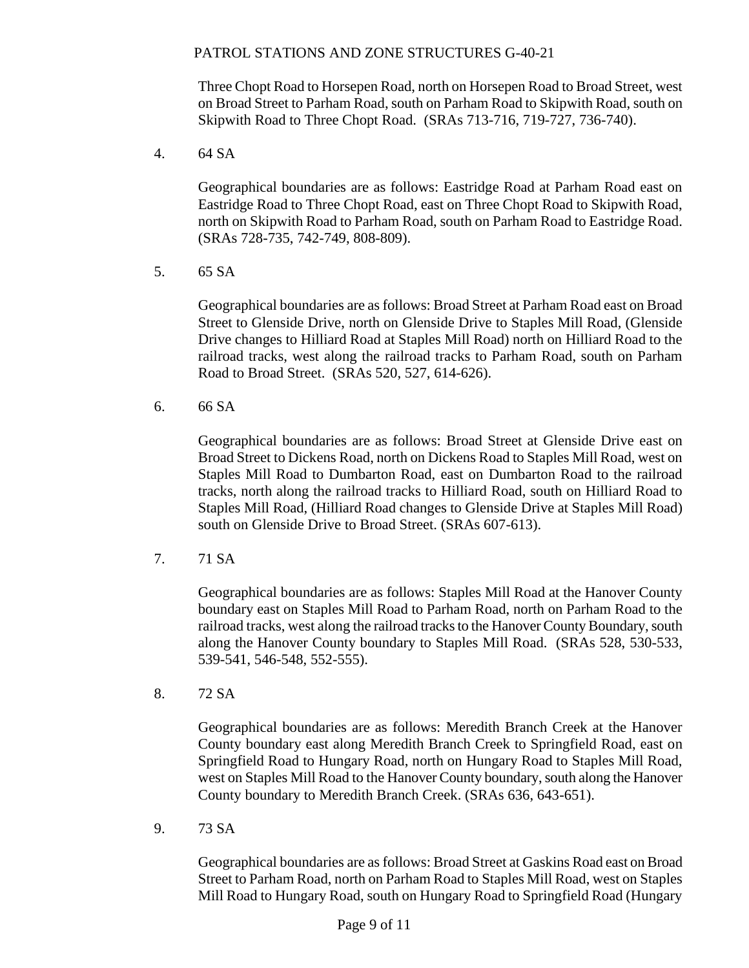Three Chopt Road to Horsepen Road, north on Horsepen Road to Broad Street, west on Broad Street to Parham Road, south on Parham Road to Skipwith Road, south on Skipwith Road to Three Chopt Road. (SRAs 713-716, 719-727, 736-740).

4. 64 SA

Geographical boundaries are as follows: Eastridge Road at Parham Road east on Eastridge Road to Three Chopt Road, east on Three Chopt Road to Skipwith Road, north on Skipwith Road to Parham Road, south on Parham Road to Eastridge Road. (SRAs 728-735, 742-749, 808-809).

5. 65 SA

Geographical boundaries are as follows: Broad Street at Parham Road east on Broad Street to Glenside Drive, north on Glenside Drive to Staples Mill Road, (Glenside Drive changes to Hilliard Road at Staples Mill Road) north on Hilliard Road to the railroad tracks, west along the railroad tracks to Parham Road, south on Parham Road to Broad Street. (SRAs 520, 527, 614-626).

6. 66 SA

Geographical boundaries are as follows: Broad Street at Glenside Drive east on Broad Street to Dickens Road, north on Dickens Road to Staples Mill Road, west on Staples Mill Road to Dumbarton Road, east on Dumbarton Road to the railroad tracks, north along the railroad tracks to Hilliard Road, south on Hilliard Road to Staples Mill Road, (Hilliard Road changes to Glenside Drive at Staples Mill Road) south on Glenside Drive to Broad Street. (SRAs 607-613).

7. 71 SA

Geographical boundaries are as follows: Staples Mill Road at the Hanover County boundary east on Staples Mill Road to Parham Road, north on Parham Road to the railroad tracks, west along the railroad tracks to the Hanover County Boundary, south along the Hanover County boundary to Staples Mill Road. (SRAs 528, 530-533, 539-541, 546-548, 552-555).

8. 72 SA

Geographical boundaries are as follows: Meredith Branch Creek at the Hanover County boundary east along Meredith Branch Creek to Springfield Road, east on Springfield Road to Hungary Road, north on Hungary Road to Staples Mill Road, west on Staples Mill Road to the Hanover County boundary, south along the Hanover County boundary to Meredith Branch Creek. (SRAs 636, 643-651).

9. 73 SA

Geographical boundaries are as follows: Broad Street at Gaskins Road east on Broad Street to Parham Road, north on Parham Road to Staples Mill Road, west on Staples Mill Road to Hungary Road, south on Hungary Road to Springfield Road (Hungary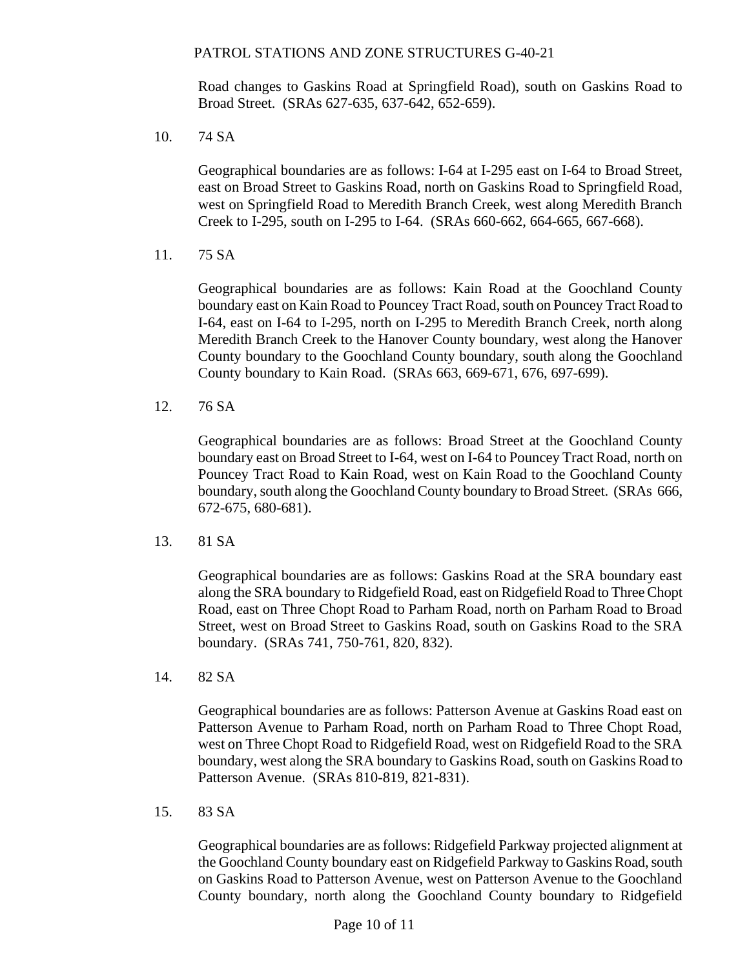Road changes to Gaskins Road at Springfield Road), south on Gaskins Road to Broad Street. (SRAs 627-635, 637-642, 652-659).

10. 74 SA

Geographical boundaries are as follows: I-64 at I-295 east on I-64 to Broad Street, east on Broad Street to Gaskins Road, north on Gaskins Road to Springfield Road, west on Springfield Road to Meredith Branch Creek, west along Meredith Branch Creek to I-295, south on I-295 to I-64. (SRAs 660-662, 664-665, 667-668).

11. 75 SA

Geographical boundaries are as follows: Kain Road at the Goochland County boundary east on Kain Road to Pouncey Tract Road, south on Pouncey Tract Road to I-64, east on I-64 to I-295, north on I-295 to Meredith Branch Creek, north along Meredith Branch Creek to the Hanover County boundary, west along the Hanover County boundary to the Goochland County boundary, south along the Goochland County boundary to Kain Road. (SRAs 663, 669-671, 676, 697-699).

12. 76 SA

Geographical boundaries are as follows: Broad Street at the Goochland County boundary east on Broad Street to I-64, west on I-64 to Pouncey Tract Road, north on Pouncey Tract Road to Kain Road, west on Kain Road to the Goochland County boundary, south along the Goochland County boundary to Broad Street. (SRAs 666, 672-675, 680-681).

13. 81 SA

Geographical boundaries are as follows: Gaskins Road at the SRA boundary east along the SRA boundary to Ridgefield Road, east on Ridgefield Road to Three Chopt Road, east on Three Chopt Road to Parham Road, north on Parham Road to Broad Street, west on Broad Street to Gaskins Road, south on Gaskins Road to the SRA boundary. (SRAs 741, 750-761, 820, 832).

14. 82 SA

Geographical boundaries are as follows: Patterson Avenue at Gaskins Road east on Patterson Avenue to Parham Road, north on Parham Road to Three Chopt Road, west on Three Chopt Road to Ridgefield Road, west on Ridgefield Road to the SRA boundary, west along the SRA boundary to Gaskins Road, south on Gaskins Road to Patterson Avenue. (SRAs 810-819, 821-831).

15. 83 SA

Geographical boundaries are as follows: Ridgefield Parkway projected alignment at the Goochland County boundary east on Ridgefield Parkway to Gaskins Road, south on Gaskins Road to Patterson Avenue, west on Patterson Avenue to the Goochland County boundary, north along the Goochland County boundary to Ridgefield